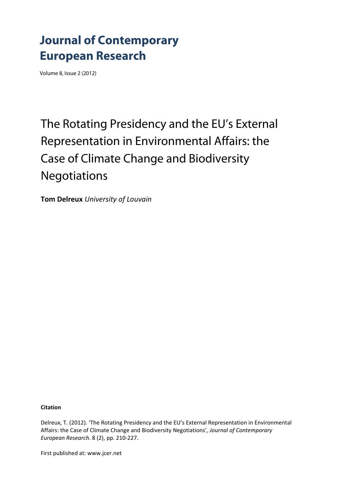## **Journal of Contemporary European Research**

Volume 8, Issue 2 (2012)

# The Rotating Presidency and the EU's External Representation in Environmental Affairs: the Case of Climate Change and Biodiversity Negotiations

**Tom Delreux** *University of Louvain*

**Citation**

Delreux, T. (2012). 'The Rotating Presidency and the EU's External Representation in Environmental Affairs: the Case of Climate Change and Biodiversity Negotiations'*, Journal of Contemporary European Research*. 8 (2), pp. 210‐227.

First published at: www.jcer.net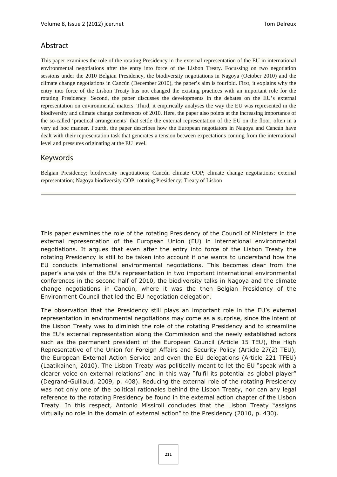## Abstract

This paper examines the role of the rotating Presidency in the external representation of the EU in international environmental negotiations after the entry into force of the Lisbon Treaty. Focussing on two negotiation sessions under the 2010 Belgian Presidency, the biodiversity negotiations in Nagoya (October 2010) and the climate change negotiations in Cancún (December 2010), the paper's aim is fourfold. First, it explains why the entry into force of the Lisbon Treaty has not changed the existing practices with an important role for the rotating Presidency. Second, the paper discusses the developments in the debates on the EU's external representation on environmental matters. Third, it empirically analyses the way the EU was represented in the biodiversity and climate change conferences of 2010. Here, the paper also points at the increasing importance of the so-called 'practical arrangements' that settle the external representation of the EU on the floor, often in a very ad hoc manner. Fourth, the paper describes how the European negotiators in Nagoya and Cancún have dealt with their representation task that generates a tension between expectations coming from the international level and pressures originating at the EU level.

### Keywords

Belgian Presidency; biodiversity negotiations; Cancún climate COP; climate change negotiations; external representation; Nagoya biodiversity COP; rotating Presidency; Treaty of Lisbon

This paper examines the role of the rotating Presidency of the Council of Ministers in the external representation of the European Union (EU) in international environmental negotiations. It argues that even after the entry into force of the Lisbon Treaty the rotating Presidency is still to be taken into account if one wants to understand how the EU conducts international environmental negotiations. This becomes clear from the paper's analysis of the EU's representation in two important international environmental conferences in the second half of 2010, the biodiversity talks in Nagoya and the climate change negotiations in Cancún, where it was the then Belgian Presidency of the Environment Council that led the EU negotiation delegation.

The observation that the Presidency still plays an important role in the EU's external representation in environmental negotiations may come as a surprise, since the intent of the Lisbon Treaty was to diminish the role of the rotating Presidency and to streamline the EU's external representation along the Commission and the newly established actors such as the permanent president of the European Council (Article 15 TEU), the High Representative of the Union for Foreign Affairs and Security Policy (Article 27(2) TEU), the European External Action Service and even the EU delegations (Article 221 TFEU) (Laatikainen, 2010). The Lisbon Treaty was politically meant to let the EU "speak with a clearer voice on external relations" and in this way "fulfil its potential as global player" (Degrand-Guillaud, 2009, p. 408). Reducing the external role of the rotating Presidency was not only one of the political rationales behind the Lisbon Treaty, nor can any legal reference to the rotating Presidency be found in the external action chapter of the Lisbon Treaty. In this respect, Antonio Missiroli concludes that the Lisbon Treaty "assigns virtually no role in the domain of external action" to the Presidency (2010, p. 430).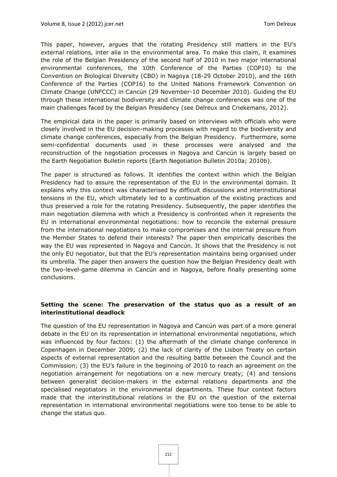This paper, however, argues that the rotating Presidency still matters in the EU's external relations, inter alia in the environmental area. To make this claim, it examines the role of the Belgian Presidency of the second half of 2010 in two major international environmental conferences, the 10th Conference of the Parties (COP10) to the Convention on Biological Diversity (CBD) in Nagoya (18-29 October 2010), and the 16th Conference of the Parties (COP16) to the United Nations Framework Convention on Climate Change (UNFCCC) in Cancún (29 November-10 December 2010). Guiding the EU through these international biodiversity and climate change conferences was one of the main challenges faced by the Belgian Presidency (see Delreux and Criekemans, 2012).

The empirical data in the paper is primarily based on interviews with officials who were closely involved in the EU decision-making processes with regard to the biodiversity and climate change conferences, especially from the Belgian Presidency. Furthermore, some semi-confidential documents used in these processes were analysed and the reconstruction of the negotiation processes in Nagoya and Cancún is largely based on the Earth Negotiation Bulletin reports (Earth Negotiation Bulletin 2010a; 2010b).

The paper is structured as follows. It identifies the context within which the Belgian Presidency had to assure the representation of the EU in the environmental domain. It explains why this context was characterised by difficult discussions and interinstitutional tensions in the EU, which ultimately led to a continuation of the existing practices and thus preserved a role for the rotating Presidency. Subsequently, the paper identifies the main negotiation dilemma with which a Presidency is confronted when it represents the EU in international environmental negotiations: how to reconcile the external pressure from the international negotiations to make compromises and the internal pressure from the Member States to defend their interests? The paper then empirically describes the way the EU was represented in Nagoya and Cancún. It shows that the Presidency is not the only EU negotiator, but that the EU's representation maintains being organised under its umbrella. The paper then answers the question how the Belgian Presidency dealt with the two-level-game dilemma in Cancún and in Nagoya, before finally presenting some conclusions.

#### **Setting the scene: The preservation of the status quo as a result of an interinstitutional deadlock**

The question of the EU representation in Nagoya and Cancún was part of a more general debate in the EU on its representation in international environmental negotiations, which was influenced by four factors: (1) the aftermath of the climate change conference in Copenhagen in December 2009; (2) the lack of clarity of the Lisbon Treaty on certain aspects of external representation and the resulting battle between the Council and the Commission; (3) the EU's failure in the beginning of 2010 to reach an agreement on the negotiation arrangement for negotiations on a new mercury treaty; (4) and tensions between generalist decision-makers in the external relations departments and the specialised negotiators in the environmental departments. These four context factors made that the interinstitutional relations in the EU on the question of the external representation in international environmental negotiations were too tense to be able to change the status quo.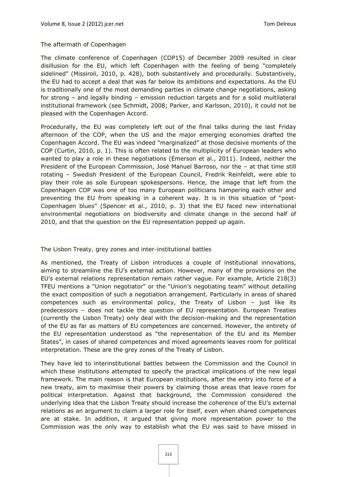#### *The aftermath of Copenhagen*

The climate conference of Copenhagen (COP15) of December 2009 resulted in clear disillusion for the EU, which left Copenhagen with the feeling of being "completely sidelined" (Missiroli, 2010, p. 428), both substantively and procedurally. Substantively, the EU had to accept a deal that was far below its ambitions and expectations. As the EU is traditionally one of the most demanding parties in climate change negotiations, asking for strong – and legally binding – emission reduction targets and for a solid multilateral institutional framework (see Schmidt, 2008; Parker, and Karlsson, 2010), it could not be pleased with the Copenhagen Accord.

Procedurally, the EU was completely left out of the final talks during the last Friday afternoon of the COP, when the US and the major emerging economies drafted the Copenhagen Accord. The EU was indeed "marginalized" at those decisive moments of the COP (Curtin, 2010, p. 1). This is often related to the multiplicity of European leaders who wanted to play a role in these negotiations (Emerson et al., 2011). Indeed, neither the President of the European Commission, José Manuel Barroso, nor the – at that time still rotating – Swedish President of the European Council, Fredrik Reinfeldt, were able to play their role as sole European spokespersons. Hence, the image that left from the Copenhagen COP was one of too many European politicians hampering each other and preventing the EU from speaking in a coherent way. It is in this situation of "post-Copenhagen blues" (Spencer et al., 2010, p. 3) that the EU faced new international environmental negotiations on biodiversity and climate change in the second half of 2010, and that the question on the EU representation popped up again.

#### *The Lisbon Treaty, grey zones and inter-institutional battles*

As mentioned, the Treaty of Lisbon introduces a couple of institutional innovations, aiming to streamline the EU's external action. However, many of the provisions on the EU's external relations representation remain rather vague. For example, Article 218(3) TFEU mentions a "Union negotiator" or the "Union's negotiating team" without detailing the exact composition of such a negotiation arrangement. Particularly in areas of shared competences such as environmental policy, the Treaty of Lisbon – just like its predecessors – does not tackle the question of EU representation. European Treaties (currently the Lisbon Treaty) only deal with the decision-making and the representation of the EU as far as matters of EU competences are concerned. However, the entirety of the EU representation understood as "the representation of the EU and its Member States", in cases of shared competences and mixed agreements leaves room for political interpretation. These are the grey zones of the Treaty of Lisbon.

They have led to interinstitutional battles between the Commission and the Council in which these institutions attempted to specify the practical implications of the new legal framework. The main reason is that European institutions, after the entry into force of a new treaty, aim to maximise their powers by claiming those areas that leave room for political interpretation. Against that background, the Commission considered the underlying idea that the Lisbon Treaty should increase the coherence of the EU's external relations as an argument to claim a larger role for itself, even when shared competences are at stake. In addition, it argued that giving more representation power to the Commission was the only way to establish what the EU was said to have missed in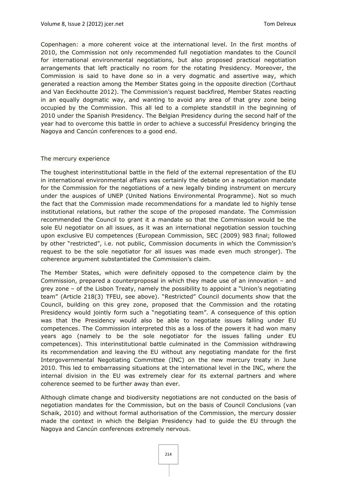Copenhagen: a more coherent voice at the international level. In the first months of 2010, the Commission not only recommended full negotiation mandates to the Council for international environmental negotiations, but also proposed practical negotiation arrangements that left practically no room for the rotating Presidency. Moreover, the Commission is said to have done so in a very dogmatic and assertive way, which generated a reaction among the Member States going in the opposite direction (Corthaut and Van Eeckhoutte 2012). The Commission's request backfired, Member States reacting in an equally dogmatic way, and wanting to avoid any area of that grey zone being occupied by the Commission. This all led to a complete standstill in the beginning of 2010 under the Spanish Presidency. The Belgian Presidency during the second half of the year had to overcome this battle in order to achieve a successful Presidency bringing the Nagoya and Cancún conferences to a good end.

#### *The mercury experience*

The toughest interinstitutional battle in the field of the external representation of the EU in international environmental affairs was certainly the debate on a negotiation mandate for the Commission for the negotiations of a new legally binding instrument on mercury under the auspices of UNEP (United Nations Environmental Programme). Not so much the fact that the Commission made recommendations for a mandate led to highly tense institutional relations, but rather the scope of the proposed mandate. The Commission recommended the Council to grant it a mandate so that the Commission would be the sole EU negotiator on all issues, as it was an international negotiation session touching upon exclusive EU competences (European Commission, SEC (2009) 983 final; followed by other "restricted", i.e. not public, Commission documents in which the Commission's request to be the sole negotiator for all issues was made even much stronger). The coherence argument substantiated the Commission's claim.

The Member States, which were definitely opposed to the competence claim by the Commission, prepared a counterproposal in which they made use of an innovation – and grey zone – of the Lisbon Treaty, namely the possibility to appoint a "Union's negotiating team" (Article 218(3) TFEU, see above). "Restricted" Council documents show that the Council, building on this grey zone, proposed that the Commission and the rotating Presidency would jointly form such a "negotiating team". A consequence of this option was that the Presidency would also be able to negotiate issues falling under EU competences. The Commission interpreted this as a loss of the powers it had won many years ago (namely to be the sole negotiator for the issues falling under EU competences). This interinstitutional battle culminated in the Commission withdrawing its recommendation and leaving the EU without any negotiating mandate for the first Intergovernmental Negotiating Committee (INC) on the new mercury treaty in June 2010. This led to embarrassing situations at the international level in the INC, where the internal division in the EU was extremely clear for its external partners and where coherence seemed to be further away than ever.

Although climate change and biodiversity negotiations are not conducted on the basis of negotiation mandates for the Commission, but on the basis of Council Conclusions (van Schaik, 2010) and without formal authorisation of the Commission, the mercury dossier made the context in which the Belgian Presidency had to guide the EU through the Nagoya and Cancún conferences extremely nervous.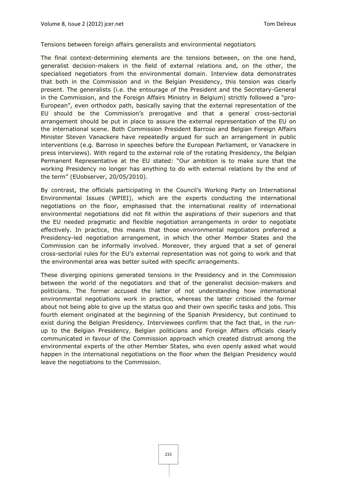#### *Tensions between foreign affairs generalists and environmental negotiators*

The final context-determining elements are the tensions between, on the one hand, generalist decision-makers in the field of external relations and, on the other, the specialised negotiators from the environmental domain. Interview data demonstrates that both in the Commission and in the Belgian Presidency, this tension was clearly present. The generalists (i.e. the entourage of the President and the Secretary-General in the Commission, and the Foreign Affairs Ministry in Belgium) strictly followed a "pro-European", even orthodox path, basically saying that the external representation of the EU should be the Commission's prerogative and that a general cross-sectorial arrangement should be put in place to assure the external representation of the EU on the international scene. Both Commission President Barroso and Belgian Foreign Affairs Minister Steven Vanackere have repeatedly argued for such an arrangement in public interventions (e.g. Barroso in speeches before the European Parliament, or Vanackere in press interviews). With regard to the external role of the rotating Presidency, the Belgian Permanent Representative at the EU stated: "Our ambition is to make sure that the working Presidency no longer has anything to do with external relations by the end of the term" (EUobserver, 20/05/2010).

By contrast, the officials participating in the Council's Working Party on International Environmental Issues (WPIEI), which are the experts conducting the international negotiations on the floor, emphasised that the international reality of international environmental negotiations did not fit within the aspirations of their superiors and that the EU needed pragmatic and flexible negotiation arrangements in order to negotiate effectively. In practice, this means that those environmental negotiators preferred a Presidency-led negotiation arrangement, in which the other Member States and the Commission can be informally involved. Moreover, they argued that a set of general cross-sectorial rules for the EU's external representation was not going to work and that the environmental area was better suited with specific arrangements.

These diverging opinions generated tensions in the Presidency and in the Commission between the world of the negotiators and that of the generalist decision-makers and politicians. The former accused the latter of not understanding how international environmental negotiations work in practice, whereas the latter criticised the former about not being able to give up the status quo and their own specific tasks and jobs. This fourth element originated at the beginning of the Spanish Presidency, but continued to exist during the Belgian Presidency. Interviewees confirm that the fact that, in the runup to the Belgian Presidency, Belgian politicians and Foreign Affairs officials clearly communicated in favour of the Commission approach which created distrust among the environmental experts of the other Member States, who even openly asked what would happen in the international negotiations on the floor when the Belgian Presidency would leave the negotiations to the Commission.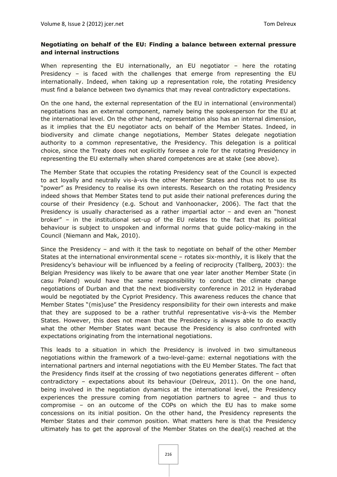#### **Negotiating on behalf of the EU: Finding a balance between external pressure and internal instructions**

When representing the EU internationally, an EU negotiator – here the rotating Presidency – is faced with the challenges that emerge from representing the EU internationally. Indeed, when taking up a representation role, the rotating Presidency must find a balance between two dynamics that may reveal contradictory expectations.

On the one hand, the external representation of the EU in international (environmental) negotiations has an external component, namely being the spokesperson for the EU at the international level. On the other hand, representation also has an internal dimension, as it implies that the EU negotiator acts on behalf of the Member States. Indeed, in biodiversity and climate change negotiations, Member States delegate negotiation authority to a common representative, the Presidency. This delegation is a political choice, since the Treaty does not explicitly foresee a role for the rotating Presidency in representing the EU externally when shared competences are at stake (see above).

The Member State that occupies the rotating Presidency seat of the Council is expected to act loyally and neutrally vis-à-vis the other Member States and thus not to use its "power" as Presidency to realise its own interests. Research on the rotating Presidency indeed shows that Member States tend to put aside their national preferences during the course of their Presidency (e.g. Schout and Vanhoonacker, 2006). The fact that the Presidency is usually characterised as a rather impartial actor – and even an "honest broker" – in the institutional set-up of the EU relates to the fact that its political behaviour is subject to unspoken and informal norms that guide policy-making in the Council (Niemann and Mak, 2010).

Since the Presidency – and with it the task to negotiate on behalf of the other Member States at the international environmental scene – rotates six-monthly, it is likely that the Presidency's behaviour will be influenced by a feeling of reciprocity (Tallberg, 2003): the Belgian Presidency was likely to be aware that one year later another Member State (in casu Poland) would have the same responsibility to conduct the climate change negotiations of Durban and that the next biodiversity conference in 2012 in Hyderabad would be negotiated by the Cypriot Presidency. This awareness reduces the chance that Member States "(mis)use" the Presidency responsibility for their own interests and make that they are supposed to be a rather truthful representative vis-à-vis the Member States. However, this does not mean that the Presidency is always able to do exactly what the other Member States want because the Presidency is also confronted with expectations originating from the international negotiations.

This leads to a situation in which the Presidency is involved in two simultaneous negotiations within the framework of a two-level-game: external negotiations with the international partners and internal negotiations with the EU Member States. The fact that the Presidency finds itself at the crossing of two negotiations generates different – often contradictory – expectations about its behaviour (Delreux, 2011). On the one hand, being involved in the negotiation dynamics at the international level, the Presidency experiences the pressure coming from negotiation partners to agree – and thus to compromise – on an outcome of the COPs on which the EU has to make some concessions on its initial position. On the other hand, the Presidency represents the Member States and their common position. What matters here is that the Presidency ultimately has to get the approval of the Member States on the deal(s) reached at the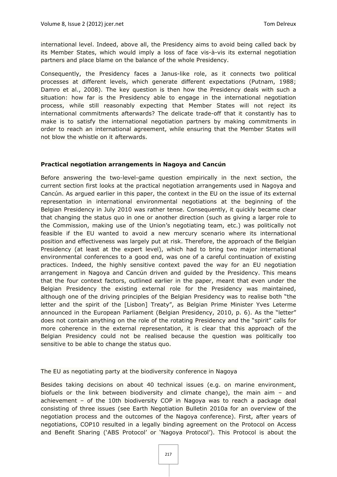international level. Indeed, above all, the Presidency aims to avoid being called back by its Member States, which would imply a loss of face vis-à-vis its external negotiation partners and place blame on the balance of the whole Presidency.

Consequently, the Presidency faces a Janus-like role, as it connects two political processes at different levels, which generate different expectations (Putnam, 1988; Damro et al., 2008). The key question is then how the Presidency deals with such a situation: how far is the Presidency able to engage in the international negotiation process, while still reasonably expecting that Member States will not reject its international commitments afterwards? The delicate trade-off that it constantly has to make is to satisfy the international negotiation partners by making commitments in order to reach an international agreement, while ensuring that the Member States will not blow the whistle on it afterwards.

#### **Practical negotiation arrangements in Nagoya and Cancún**

Before answering the two-level-game question empirically in the next section, the current section first looks at the practical negotiation arrangements used in Nagoya and Cancún. As argued earlier in this paper, the context in the EU on the issue of its external representation in international environmental negotiations at the beginning of the Belgian Presidency in July 2010 was rather tense. Consequently, it quickly became clear that changing the status quo in one or another direction (such as giving a larger role to the Commission, making use of the Union's negotiating team, etc.) was politically not feasible if the EU wanted to avoid a new mercury scenario where its international position and effectiveness was largely put at risk. Therefore, the approach of the Belgian Presidency (at least at the expert level), which had to bring two major international environmental conferences to a good end, was one of a careful continuation of existing practices. Indeed, the highly sensitive context paved the way for an EU negotiation arrangement in Nagoya and Cancún driven and guided by the Presidency. This means that the four context factors, outlined earlier in the paper, meant that even under the Belgian Presidency the existing external role for the Presidency was maintained, although one of the driving principles of the Belgian Presidency was to realise both "the letter and the spirit of the [Lisbon] Treaty", as Belgian Prime Minister Yves Leterme announced in the European Parliament (Belgian Presidency, 2010, p. 6). As the "letter" does not contain anything on the role of the rotating Presidency and the "spirit" calls for more coherence in the external representation, it is clear that this approach of the Belgian Presidency could not be realised because the question was politically too sensitive to be able to change the status quo.

#### *The EU as negotiating party at the biodiversity conference in Nagoya*

Besides taking decisions on about 40 technical issues (e.g. on marine environment, biofuels or the link between biodiversity and climate change), the main aim – and achievement – of the 10th biodiversity COP in Nagoya was to reach a package deal consisting of three issues (see Earth Negotiation Bulletin 2010a for an overview of the negotiation process and the outcomes of the Nagoya conference). First, after years of negotiations, COP10 resulted in a legally binding agreement on the Protocol on Access and Benefit Sharing ('ABS Protocol' or 'Nagoya Protocol'). This Protocol is about the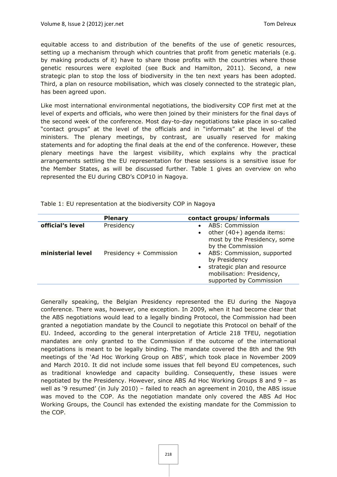equitable access to and distribution of the benefits of the use of genetic resources, setting up a mechanism through which countries that profit from genetic materials (e.g. by making products of it) have to share those profits with the countries where those genetic resources were exploited (see Buck and Hamilton, 2011). Second, a new strategic plan to stop the loss of biodiversity in the ten next years has been adopted. Third, a plan on resource mobilisation, which was closely connected to the strategic plan, has been agreed upon.

Like most international environmental negotiations, the biodiversity COP first met at the level of experts and officials, who were then joined by their ministers for the final days of the second week of the conference. Most day-to-day negotiations take place in so-called "contact groups" at the level of the officials and in "informals" at the level of the ministers. The plenary meetings, by contrast, are usually reserved for making statements and for adopting the final deals at the end of the conference. However, these plenary meetings have the largest visibility, which explains why the practical arrangements settling the EU representation for these sessions is a sensitive issue for the Member States, as will be discussed further. Table 1 gives an overview on who represented the EU during CBD's COP10 in Nagoya.

|                   | <b>Plenary</b>          | contact groups/informals                                                                                                                                     |
|-------------------|-------------------------|--------------------------------------------------------------------------------------------------------------------------------------------------------------|
| official's level  | Presidency              | <b>ABS: Commission</b><br>other $(40+)$ agenda items:<br>$\bullet$<br>most by the Presidency, some<br>by the Commission                                      |
| ministerial level | Presidency + Commission | ABS: Commission, supported<br>$\bullet$<br>by Presidency<br>strategic plan and resource<br>$\bullet$<br>mobilisation: Presidency,<br>supported by Commission |

Table 1: EU representation at the biodiversity COP in Nagoya

Generally speaking, the Belgian Presidency represented the EU during the Nagoya conference. There was, however, one exception. In 2009, when it had become clear that the ABS negotiations would lead to a legally binding Protocol, the Commission had been granted a negotiation mandate by the Council to negotiate this Protocol on behalf of the EU. Indeed, according to the general interpretation of Article 218 TFEU, negotiation mandates are only granted to the Commission if the outcome of the international negotiations is meant to be legally binding. The mandate covered the 8th and the 9th meetings of the 'Ad Hoc Working Group on ABS', which took place in November 2009 and March 2010. It did not include some issues that fell beyond EU competences, such as traditional knowledge and capacity building. Consequently, these issues were negotiated by the Presidency. However, since ABS Ad Hoc Working Groups 8 and 9 – as well as '9 resumed' (in July 2010) – failed to reach an agreement in 2010, the ABS issue was moved to the COP. As the negotiation mandate only covered the ABS Ad Hoc Working Groups, the Council has extended the existing mandate for the Commission to the COP.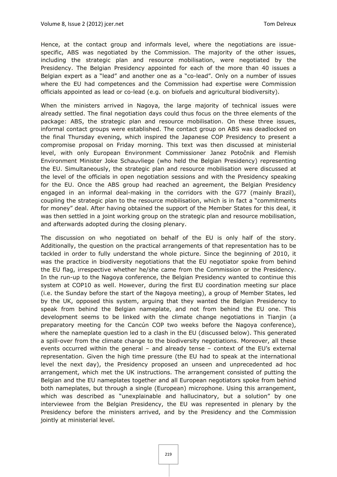Hence, at the contact group and informals level, where the negotiations are issuespecific, ABS was negotiated by the Commission. The majority of the other issues, including the strategic plan and resource mobilisation, were negotiated by the Presidency. The Belgian Presidency appointed for each of the more than 40 issues a Belgian expert as a "lead" and another one as a "co-lead". Only on a number of issues where the EU had competences and the Commission had expertise were Commission officials appointed as lead or co-lead (e.g. on biofuels and agricultural biodiversity).

When the ministers arrived in Nagoya, the large majority of technical issues were already settled. The final negotiation days could thus focus on the three elements of the package: ABS, the strategic plan and resource mobilisation. On these three issues, informal contact groups were established. The contact group on ABS was deadlocked on the final Thursday evening, which inspired the Japanese COP Presidency to present a compromise proposal on Friday morning. This text was then discussed at ministerial level, with only European Environment Commissioner Janez Potočnik and Flemish Environment Minister Joke Schauvliege (who held the Belgian Presidency) representing the EU. Simultaneously, the strategic plan and resource mobilisation were discussed at the level of the officials in open negotiation sessions and with the Presidency speaking for the EU. Once the ABS group had reached an agreement, the Belgian Presidency engaged in an informal deal-making in the corridors with the G77 (mainly Brazil), coupling the strategic plan to the resource mobilisation, which is in fact a "commitments for money" deal. After having obtained the support of the Member States for this deal, it was then settled in a joint working group on the strategic plan and resource mobilisation, and afterwards adopted during the closing plenary.

The discussion on who negotiated on behalf of the EU is only half of the story. Additionally, the question on the practical arrangements of that representation has to be tackled in order to fully understand the whole picture. Since the beginning of 2010, it was the practice in biodiversity negotiations that the EU negotiator spoke from behind the EU flag, irrespective whether he/she came from the Commission or the Presidency. In the run-up to the Nagoya conference, the Belgian Presidency wanted to continue this system at COP10 as well. However, during the first EU coordination meeting sur place (i.e. the Sunday before the start of the Nagoya meeting), a group of Member States, led by the UK, opposed this system, arguing that they wanted the Belgian Presidency to speak from behind the Belgian nameplate, and not from behind the EU one. This development seems to be linked with the climate change negotiations in Tianjin (a preparatory meeting for the Cancún COP two weeks before the Nagoya conference), where the nameplate question led to a clash in the EU (discussed below). This generated a spill-over from the climate change to the biodiversity negotiations. Moreover, all these events occurred within the general – and already tense – context of the EU's external representation. Given the high time pressure (the EU had to speak at the international level the next day), the Presidency proposed an unseen and unprecedented ad hoc arrangement, which met the UK instructions. The arrangement consisted of putting the Belgian and the EU nameplates together and all European negotiators spoke from behind both nameplates, but through a single (European) microphone. Using this arrangement, which was described as "unexplainable and hallucinatory, but a solution" by one interviewee from the Belgian Presidency, the EU was represented in plenary by the Presidency before the ministers arrived, and by the Presidency and the Commission jointly at ministerial level.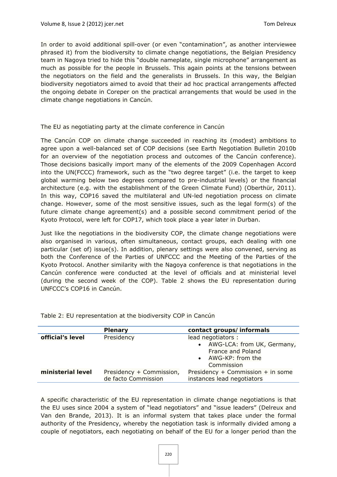In order to avoid additional spill-over (or even "contamination", as another interviewee phrased it) from the biodiversity to climate change negotiations, the Belgian Presidency team in Nagoya tried to hide this "double nameplate, single microphone" arrangement as much as possible for the people in Brussels. This again points at the tensions between the negotiators on the field and the generalists in Brussels. In this way, the Belgian biodiversity negotiators aimed to avoid that their ad hoc practical arrangements affected the ongoing debate in Coreper on the practical arrangements that would be used in the climate change negotiations in Cancún.

#### *The EU as negotiating party at the climate conference in Cancún*

The Cancún COP on climate change succeeded in reaching its (modest) ambitions to agree upon a well-balanced set of COP decisions (see Earth Negotiation Bulletin 2010b for an overview of the negotiation process and outcomes of the Cancún conference). Those decisions basically import many of the elements of the 2009 Copenhagen Accord into the UN(FCCC) framework, such as the "two degree target" (i.e. the target to keep global warming below two degrees compared to pre-industrial levels) or the financial architecture (e.g. with the establishment of the Green Climate Fund) (Oberthür, 2011). In this way, COP16 saved the multilateral and UN-led negotiation process on climate change. However, some of the most sensitive issues, such as the legal form(s) of the future climate change agreement(s) and a possible second commitment period of the Kyoto Protocol, were left for COP17, which took place a year later in Durban.

Just like the negotiations in the biodiversity COP, the climate change negotiations were also organised in various, often simultaneous, contact groups, each dealing with one particular (set of) issue(s). In addition, plenary settings were also convened, serving as both the Conference of the Parties of UNFCCC and the Meeting of the Parties of the Kyoto Protocol. Another similarity with the Nagoya conference is that negotiations in the Cancún conference were conducted at the level of officials and at ministerial level (during the second week of the COP). Table 2 shows the EU representation during UNFCCC's COP16 in Cancún.

|                   | <b>Plenary</b>                                  | contact groups/informals                                                                                         |
|-------------------|-------------------------------------------------|------------------------------------------------------------------------------------------------------------------|
| official's level  | Presidency                                      | lead negotiators :<br>AWG-LCA: from UK, Germany,<br><b>France and Poland</b><br>• AWG-KP: from the<br>Commission |
| ministerial level | Presidency + Commission,<br>de facto Commission | Presidency + Commission + in some<br>instances lead negotiators                                                  |

Table 2: EU representation at the biodiversity COP in Cancún

A specific characteristic of the EU representation in climate change negotiations is that the EU uses since 2004 a system of "lead negotiators" and "issue leaders" (Delreux and Van den Brande, 2013). It is an informal system that takes place under the formal authority of the Presidency, whereby the negotiation task is informally divided among a couple of negotiators, each negotiating on behalf of the EU for a longer period than the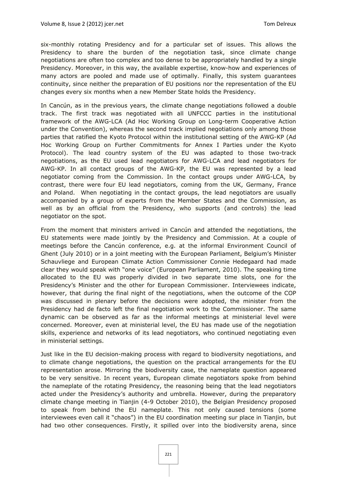six-monthly rotating Presidency and for a particular set of issues. This allows the Presidency to share the burden of the negotiation task, since climate change negotiations are often too complex and too dense to be appropriately handled by a single Presidency. Moreover, in this way, the available expertise, know-how and experiences of many actors are pooled and made use of optimally. Finally, this system guarantees continuity, since neither the preparation of EU positions nor the representation of the EU changes every six months when a new Member State holds the Presidency.

In Cancún, as in the previous years, the climate change negotiations followed a double track. The first track was negotiated with all UNFCCC parties in the institutional framework of the AWG-LCA (Ad Hoc Working Group on Long-term Cooperative Action under the Convention), whereas the second track implied negotiations only among those parties that ratified the Kyoto Protocol within the institutional setting of the AWG-KP (Ad Hoc Working Group on Further Commitments for Annex I Parties under the Kyoto Protocol). The lead country system of the EU was adapted to those two-track negotiations, as the EU used lead negotiators for AWG-LCA and lead negotiators for AWG-KP. In all contact groups of the AWG-KP, the EU was represented by a lead negotiator coming from the Commission. In the contact groups under AWG-LCA, by contrast, there were four EU lead negotiators, coming from the UK, Germany, France and Poland. When negotiating in the contact groups, the lead negotiators are usually accompanied by a group of experts from the Member States and the Commission, as well as by an official from the Presidency, who supports (and controls) the lead negotiator on the spot.

From the moment that ministers arrived in Cancún and attended the negotiations, the EU statements were made jointly by the Presidency and Commission. At a couple of meetings before the Cancún conference, e.g. at the informal Environment Council of Ghent (July 2010) or in a joint meeting with the European Parliament, Belgium's Minister Schauvliege and European Climate Action Commissioner Connie Hedegaard had made clear they would speak with "one voice" (European Parliament, 2010). The speaking time allocated to the EU was properly divided in two separate time slots, one for the Presidency's Minister and the other for European Commissioner. Interviewees indicate, however, that during the final night of the negotiations, when the outcome of the COP was discussed in plenary before the decisions were adopted, the minister from the Presidency had de facto left the final negotiation work to the Commissioner. The same dynamic can be observed as far as the informal meetings at ministerial level were concerned. Moreover, even at ministerial level, the EU has made use of the negotiation skills, experience and networks of its lead negotiators, who continued negotiating even in ministerial settings.

Just like in the EU decision-making process with regard to biodiversity negotiations, and to climate change negotiations, the question on the practical arrangements for the EU representation arose. Mirroring the biodiversity case, the nameplate question appeared to be very sensitive. In recent years, European climate negotiators spoke from behind the nameplate of the rotating Presidency, the reasoning being that the lead negotiators acted under the Presidency's authority and umbrella. However, during the preparatory climate change meeting in Tianjin (4-9 October 2010), the Belgian Presidency proposed to speak from behind the EU nameplate. This not only caused tensions (some interviewees even call it "chaos") in the EU coordination meeting sur place in Tianjin, but had two other consequences. Firstly, it spilled over into the biodiversity arena, since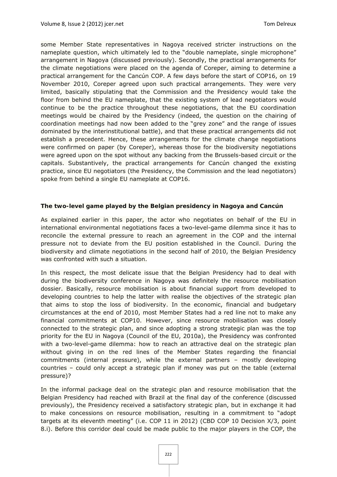some Member State representatives in Nagoya received stricter instructions on the nameplate question, which ultimately led to the "double nameplate, single microphone" arrangement in Nagoya (discussed previously). Secondly, the practical arrangements for the climate negotiations were placed on the agenda of Coreper, aiming to determine a practical arrangement for the Cancún COP. A few days before the start of COP16, on 19 November 2010, Coreper agreed upon such practical arrangements. They were very limited, basically stipulating that the Commission and the Presidency would take the floor from behind the EU nameplate, that the existing system of lead negotiators would continue to be the practice throughout these negotiations, that the EU coordination meetings would be chaired by the Presidency (indeed, the question on the chairing of coordination meetings had now been added to the "grey zone" and the range of issues dominated by the interinstitutional battle), and that these practical arrangements did not establish a precedent. Hence, these arrangements for the climate change negotiations were confirmed on paper (by Coreper), whereas those for the biodiversity negotiations were agreed upon on the spot without any backing from the Brussels-based circuit or the capitals. Substantively, the practical arrangements for Cancún changed the existing practice, since EU negotiators (the Presidency, the Commission and the lead negotiators) spoke from behind a single EU nameplate at COP16.

#### **The two-level game played by the Belgian presidency in Nagoya and Cancún**

As explained earlier in this paper, the actor who negotiates on behalf of the EU in international environmental negotiations faces a two-level-game dilemma since it has to reconcile the external pressure to reach an agreement in the COP and the internal pressure not to deviate from the EU position established in the Council. During the biodiversity and climate negotiations in the second half of 2010, the Belgian Presidency was confronted with such a situation.

In this respect, the most delicate issue that the Belgian Presidency had to deal with during the biodiversity conference in Nagoya was definitely the resource mobilisation dossier. Basically, resource mobilisation is about financial support from developed to developing countries to help the latter with realise the objectives of the strategic plan that aims to stop the loss of biodiversity. In the economic, financial and budgetary circumstances at the end of 2010, most Member States had a red line not to make any financial commitments at COP10. However, since resource mobilisation was closely connected to the strategic plan, and since adopting a strong strategic plan was the top priority for the EU in Nagoya (Council of the EU, 2010a), the Presidency was confronted with a two-level-game dilemma: how to reach an attractive deal on the strategic plan without giving in on the red lines of the Member States regarding the financial commitments (internal pressure), while the external partners – mostly developing countries – could only accept a strategic plan if money was put on the table (external pressure)?

In the informal package deal on the strategic plan and resource mobilisation that the Belgian Presidency had reached with Brazil at the final day of the conference (discussed previously), the Presidency received a satisfactory strategic plan, but in exchange it had to make concessions on resource mobilisation, resulting in a commitment to "adopt targets at its eleventh meeting" (i.e. COP 11 in 2012) (CBD COP 10 Decision X/3, point 8.i). Before this corridor deal could be made public to the major players in the COP, the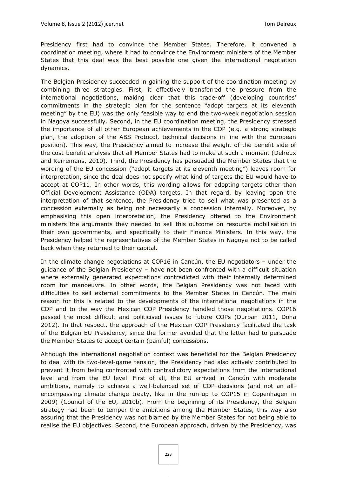Presidency first had to convince the Member States. Therefore, it convened a coordination meeting, where it had to convince the Environment ministers of the Member States that this deal was the best possible one given the international negotiation dynamics.

The Belgian Presidency succeeded in gaining the support of the coordination meeting by combining three strategies. First, it effectively transferred the pressure from the international negotiations, making clear that this trade-off (developing countries' commitments in the strategic plan for the sentence "adopt targets at its eleventh meeting" by the EU) was the only feasible way to end the two-week negotiation session in Nagoya successfully. Second, in the EU coordination meeting, the Presidency stressed the importance of all other European achievements in the COP (e.g. a strong strategic plan, the adoption of the ABS Protocol, technical decisions in line with the European position). This way, the Presidency aimed to increase the weight of the benefit side of the cost-benefit analysis that all Member States had to make at such a moment (Delreux and Kerremans, 2010). Third, the Presidency has persuaded the Member States that the wording of the EU concession ("adopt targets at its eleventh meeting") leaves room for interpretation, since the deal does not specify what kind of targets the EU would have to accept at COP11. In other words, this wording allows for adopting targets other than Official Development Assistance (ODA) targets. In that regard, by leaving open the interpretation of that sentence, the Presidency tried to sell what was presented as a concession externally as being not necessarily a concession internally. Moreover, by emphasising this open interpretation, the Presidency offered to the Environment ministers the arguments they needed to sell this outcome on resource mobilisation in their own governments, and specifically to their Finance Ministers. In this way, the Presidency helped the representatives of the Member States in Nagoya not to be called back when they returned to their capital.

In the climate change negotiations at COP16 in Cancún, the EU negotiators – under the guidance of the Belgian Presidency – have not been confronted with a difficult situation where externally generated expectations contradicted with their internally determined room for manoeuvre. In other words, the Belgian Presidency was not faced with difficulties to sell external commitments to the Member States in Cancún. The main reason for this is related to the developments of the international negotiations in the COP and to the way the Mexican COP Presidency handled those negotiations. COP16 passed the most difficult and politicised issues to future COPs (Durban 2011, Doha 2012). In that respect, the approach of the Mexican COP Presidency facilitated the task of the Belgian EU Presidency, since the former avoided that the latter had to persuade the Member States to accept certain (painful) concessions.

Although the international negotiation context was beneficial for the Belgian Presidency to deal with its two-level-game tension, the Presidency had also actively contributed to prevent it from being confronted with contradictory expectations from the international level and from the EU level. First of all, the EU arrived in Cancún with moderate ambitions, namely to achieve a well-balanced set of COP decisions (and not an allencompassing climate change treaty, like in the run-up to COP15 in Copenhagen in 2009) (Council of the EU, 2010b). From the beginning of its Presidency, the Belgian strategy had been to temper the ambitions among the Member States, this way also assuring that the Presidency was not blamed by the Member States for not being able to realise the EU objectives. Second, the European approach, driven by the Presidency, was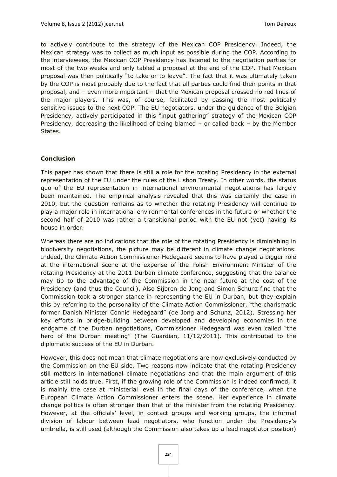to actively contribute to the strategy of the Mexican COP Presidency. Indeed, the Mexican strategy was to collect as much input as possible during the COP. According to the interviewees, the Mexican COP Presidency has listened to the negotiation parties for most of the two weeks and only tabled a proposal at the end of the COP. That Mexican proposal was then politically "to take or to leave". The fact that it was ultimately taken by the COP is most probably due to the fact that all parties could find their points in that proposal, and – even more important – that the Mexican proposal crossed no red lines of the major players. This was, of course, facilitated by passing the most politically sensitive issues to the next COP. The EU negotiators, under the guidance of the Belgian Presidency, actively participated in this "input gathering" strategy of the Mexican COP Presidency, decreasing the likelihood of being blamed – or called back – by the Member States.

#### **Conclusion**

This paper has shown that there is still a role for the rotating Presidency in the external representation of the EU under the rules of the Lisbon Treaty. In other words, the status quo of the EU representation in international environmental negotiations has largely been maintained. The empirical analysis revealed that this was certainly the case in 2010, but the question remains as to whether the rotating Presidency will continue to play a major role in international environmental conferences in the future or whether the second half of 2010 was rather a transitional period with the EU not (yet) having its house in order.

Whereas there are no indications that the role of the rotating Presidency is diminishing in biodiversity negotiations, the picture may be different in climate change negotiations. Indeed, the Climate Action Commissioner Hedegaard seems to have played a bigger role at the international scene at the expense of the Polish Environment Minister of the rotating Presidency at the 2011 Durban climate conference, suggesting that the balance may tip to the advantage of the Commission in the near future at the cost of the Presidency (and thus the Council). Also Sijbren de Jong and Simon Schunz find that the Commission took a stronger stance in representing the EU in Durban, but they explain this by referring to the personality of the Climate Action Commissioner, "the charismatic former Danish Minister Connie Hedegaard" (de Jong and Schunz, 2012). Stressing her key efforts in bridge-building between developed and developing economies in the endgame of the Durban negotiations, Commissioner Hedegaard was even called "the hero of the Durban meeting" (The Guardian, 11/12/2011). This contributed to the diplomatic success of the EU in Durban.

However, this does not mean that climate negotiations are now exclusively conducted by the Commission on the EU side. Two reasons now indicate that the rotating Presidency still matters in international climate negotiations and that the main argument of this article still holds true. First, if the growing role of the Commission is indeed confirmed, it is mainly the case at ministerial level in the final days of the conference, when the European Climate Action Commissioner enters the scene. Her experience in climate change politics is often stronger than that of the minister from the rotating Presidency. However, at the officials' level, in contact groups and working groups, the informal division of labour between lead negotiators, who function under the Presidency's umbrella, is still used (although the Commission also takes up a lead negotiator position)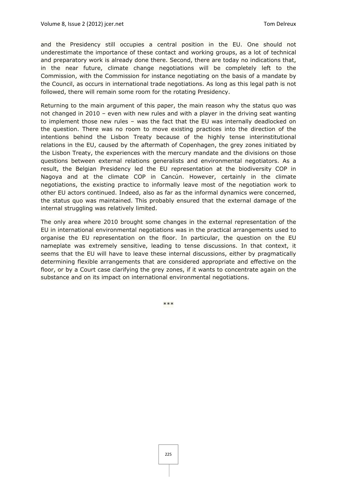and the Presidency still occupies a central position in the EU. One should not underestimate the importance of these contact and working groups, as a lot of technical and preparatory work is already done there. Second, there are today no indications that, in the near future, climate change negotiations will be completely left to the Commission, with the Commission for instance negotiating on the basis of a mandate by the Council, as occurs in international trade negotiations. As long as this legal path is not followed, there will remain some room for the rotating Presidency.

Returning to the main argument of this paper, the main reason why the status quo was not changed in 2010 – even with new rules and with a player in the driving seat wanting to implement those new rules – was the fact that the EU was internally deadlocked on the question. There was no room to move existing practices into the direction of the intentions behind the Lisbon Treaty because of the highly tense interinstitutional relations in the EU, caused by the aftermath of Copenhagen, the grey zones initiated by the Lisbon Treaty, the experiences with the mercury mandate and the divisions on those questions between external relations generalists and environmental negotiators. As a result, the Belgian Presidency led the EU representation at the biodiversity COP in Nagoya and at the climate COP in Cancún. However, certainly in the climate negotiations, the existing practice to informally leave most of the negotiation work to other EU actors continued. Indeed, also as far as the informal dynamics were concerned, the status quo was maintained. This probably ensured that the external damage of the internal struggling was relatively limited.

The only area where 2010 brought some changes in the external representation of the EU in international environmental negotiations was in the practical arrangements used to organise the EU representation on the floor. In particular, the question on the EU nameplate was extremely sensitive, leading to tense discussions. In that context, it seems that the EU will have to leave these internal discussions, either by pragmatically determining flexible arrangements that are considered appropriate and effective on the floor, or by a Court case clarifying the grey zones, if it wants to concentrate again on the substance and on its impact on international environmental negotiations.

\*\*\*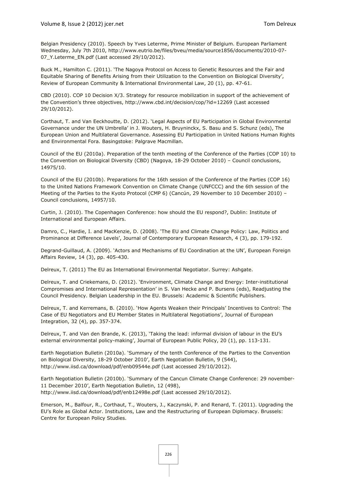Belgian Presidency (2010). Speech by Yves Leterme, Prime Minister of Belgium. European Parliament Wednesday, July 7th 2010, http://www.eutrio.be/files/bveu/media/source1856/documents/2010-07- 07\_Y.Leterme\_EN.pdf (Last accessed 29/10/2012).

Buck M., Hamilton C. (2011). 'The Nagoya Protocol on Access to Genetic Resources and the Fair and Equitable Sharing of Benefits Arising from their Utilization to the Convention on Biological Diversity', Review of European Community & International Environmental Law, 20 (1), pp. 47-61.

CBD (2010). COP 10 Decision X/3. Strategy for resource mobilization in support of the achievement of the Convention's three objectives, http://www.cbd.int/decision/cop/?id=12269 (Last accessed 29/10/2012).

Corthaut, T. and Van Eeckhoutte, D. (2012). 'Legal Aspects of EU Participation in Global Environmental Governance under the UN Umbrella' in J. Wouters, H. Bruyninckx, S. Basu and S. Schunz (eds), The European Union and Multilateral Governance. Assessing EU Participation in United Nations Human Rights and Environmental Fora. Basingstoke: Palgrave Macmillan.

Council of the EU (2010a). Preparation of the tenth meeting of the Conference of the Parties (COP 10) to the Convention on Biological Diversity (CBD) (Nagoya, 18-29 October 2010) – Council conclusions, 14975/10.

Council of the EU (2010b). Preparations for the 16th session of the Conference of the Parties (COP 16) to the United Nations Framework Convention on Climate Change (UNFCCC) and the 6th session of the Meeting of the Parties to the Kyoto Protocol (CMP 6) (Cancún, 29 November to 10 December 2010) -Council conclusions, 14957/10.

Curtin, J. (2010). The Copenhagen Conference: how should the EU respond?, Dublin: Institute of International and European Affairs.

Damro, C., Hardie, I. and MacKenzie, D. (2008). 'The EU and Climate Change Policy: Law, Politics and Prominance at Difference Levels', Journal of Contemporary European Research, 4 (3), pp. 179-192.

Degrand-Guillaud, A. (2009). 'Actors and Mechanisms of EU Coordination at the UN', European Foreign Affairs Review, 14 (3), pp. 405-430.

Delreux, T. (2011) The EU as International Environmental Negotiator. Surrey: Ashgate.

Delreux, T. and Criekemans, D. (2012). 'Environment, Climate Change and Energy: Inter-institutional Compromises and International Representation' in S. Van Hecke and P. Bursens (eds), Readjusting the Council Presidency. Belgian Leadership in the EU. Brussels: Academic & Scientific Publishers.

Delreux, T. and Kerremans, B. (2010). 'How Agents Weaken their Principals' Incentives to Control: The Case of EU Negotiators and EU Member States in Multilateral Negotiations', Journal of European Integration, 32 (4), pp. 357-374.

Delreux, T. and Van den Brande, K. (2013), 'Taking the lead: informal division of labour in the EU's external environmental policy-making', Journal of European Public Policy, 20 (1), pp. 113-131.

Earth Negotiation Bulletin (2010a). 'Summary of the tenth Conference of the Parties to the Convention on Biological Diversity, 18-29 October 2010', Earth Negotiation Bulletin, 9 (544), http://www.iisd.ca/download/pdf/enb09544e.pdf (Last accessed 29/10/2012).

Earth Negotiation Bulletin (2010b). 'Summary of the Cancun Climate Change Conference: 29 november-11 December 2010', Earth Negotiation Bulletin, 12 (498), http://www.iisd.ca/download/pdf/enb12498e.pdf (Last accessed 29/10/2012).

Emerson, M., Balfour, R., Corthaut, T., Wouters, J., Kaczynski, P. and Renard, T. (2011). Upgrading the EU's Role as Global Actor. Institutions, Law and the Restructuring of European Diplomacy. Brussels: Centre for European Policy Studies.